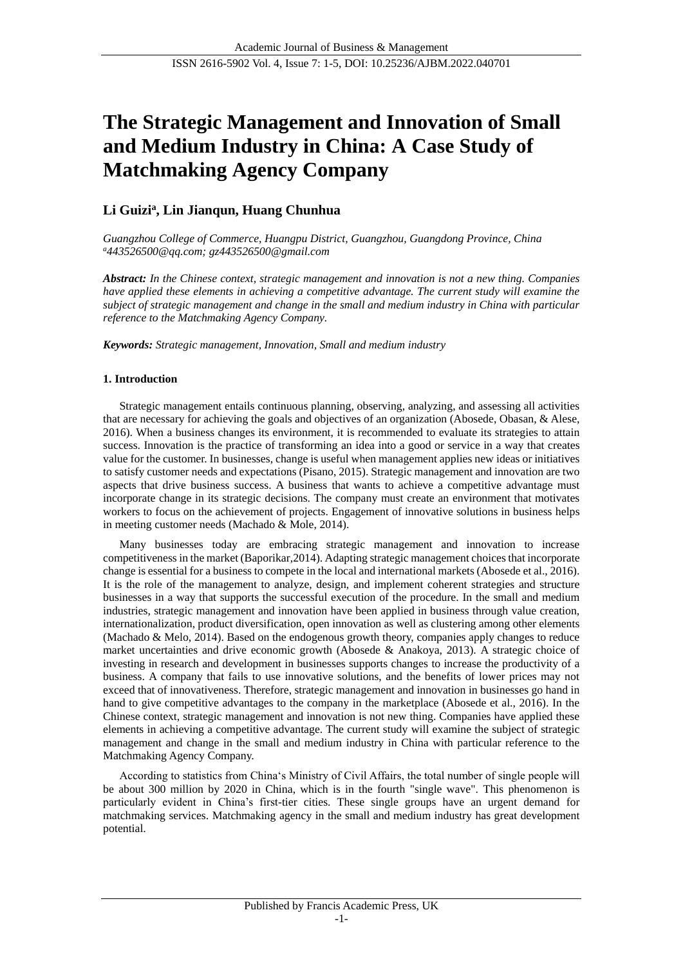# **The Strategic Management and Innovation of Small and Medium Industry in China: A Case Study of Matchmaking Agency Company**

# **Li Guizi<sup>a</sup> , Lin Jianqun, Huang Chunhua**

*Guangzhou College of Commerce, Huangpu District, Guangzhou, Guangdong Province, China <sup>a</sup>[443526500@qq.com;](mailto:137571584@qq.com) gz443526500@gmail.com*

*Abstract: In the Chinese context, strategic management and innovation is not a new thing. Companies have applied these elements in achieving a competitive advantage. The current study will examine the subject of strategic management and change in the small and medium industry in China with particular reference to the Matchmaking Agency Company.*

*Keywords: Strategic management, Innovation, Small and medium industry*

# **1. Introduction**

Strategic management entails continuous planning, observing, analyzing, and assessing all activities that are necessary for achieving the goals and objectives of an organization (Abosede, Obasan, & Alese, 2016). When a business changes its environment, it is recommended to evaluate its strategies to attain success. Innovation is the practice of transforming an idea into a good or service in a way that creates value for the customer. In businesses, change is useful when management applies new ideas or initiatives to satisfy customer needs and expectations (Pisano, 2015). Strategic management and innovation are two aspects that drive business success. A business that wants to achieve a competitive advantage must incorporate change in its strategic decisions. The company must create an environment that motivates workers to focus on the achievement of projects. Engagement of innovative solutions in business helps in meeting customer needs (Machado & Mole, 2014).

Many businesses today are embracing strategic management and innovation to increase competitiveness in the market (Baporikar,2014). Adapting strategic management choices that incorporate change is essential for a business to compete in the local and international markets (Abosede et al., 2016). It is the role of the management to analyze, design, and implement coherent strategies and structure businesses in a way that supports the successful execution of the procedure. In the small and medium industries, strategic management and innovation have been applied in business through value creation, internationalization, product diversification, open innovation as well as clustering among other elements (Machado & Melo, 2014). Based on the endogenous growth theory, companies apply changes to reduce market uncertainties and drive economic growth (Abosede & Anakoya, 2013). A strategic choice of investing in research and development in businesses supports changes to increase the productivity of a business. A company that fails to use innovative solutions, and the benefits of lower prices may not exceed that of innovativeness. Therefore, strategic management and innovation in businesses go hand in hand to give competitive advantages to the company in the marketplace (Abosede et al., 2016). In the Chinese context, strategic management and innovation is not new thing. Companies have applied these elements in achieving a competitive advantage. The current study will examine the subject of strategic management and change in the small and medium industry in China with particular reference to the Matchmaking Agency Company.

According to statistics from China's Ministry of Civil Affairs, the total number of single people will be about 300 million by 2020 in China, which is in the fourth "single wave". This phenomenon is particularly evident in China's first-tier cities. These single groups have an urgent demand for matchmaking services. Matchmaking agency in the small and medium industry has great development potential.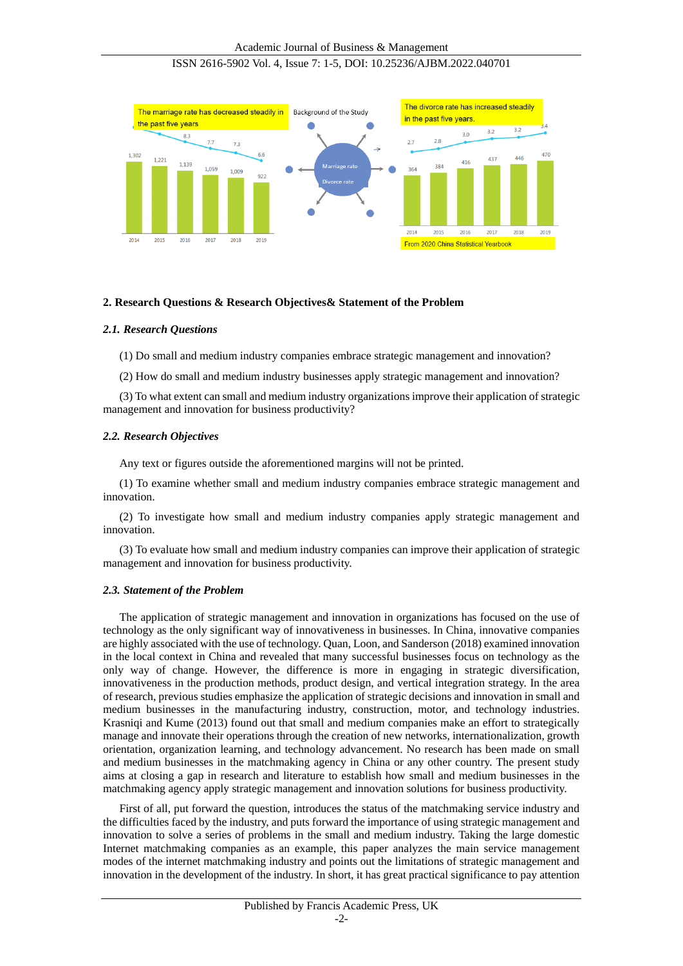

# **2. Research Questions & Research Objectives& Statement of the Problem**

# *2.1. Research Questions*

(1) Do small and medium industry companies embrace strategic management and innovation?

(2) How do small and medium industry businesses apply strategic management and innovation?

(3) To what extent can small and medium industry organizations improve their application of strategic management and innovation for business productivity?

#### *2.2. Research Objectives*

Any text or figures outside the aforementioned margins will not be printed.

(1) To examine whether small and medium industry companies embrace strategic management and innovation.

(2) To investigate how small and medium industry companies apply strategic management and innovation.

(3) To evaluate how small and medium industry companies can improve their application of strategic management and innovation for business productivity.

#### *2.3. Statement of the Problem*

The application of strategic management and innovation in organizations has focused on the use of technology as the only significant way of innovativeness in businesses. In China, innovative companies are highly associated with the use of technology. Quan, Loon, and Sanderson (2018) examined innovation in the local context in China and revealed that many successful businesses focus on technology as the only way of change. However, the difference is more in engaging in strategic diversification, innovativeness in the production methods, product design, and vertical integration strategy. In the area of research, previous studies emphasize the application of strategic decisions and innovation in small and medium businesses in the manufacturing industry, construction, motor, and technology industries. Krasniqi and Kume (2013) found out that small and medium companies make an effort to strategically manage and innovate their operations through the creation of new networks, internationalization, growth orientation, organization learning, and technology advancement. No research has been made on small and medium businesses in the matchmaking agency in China or any other country. The present study aims at closing a gap in research and literature to establish how small and medium businesses in the matchmaking agency apply strategic management and innovation solutions for business productivity.

First of all, put forward the question, introduces the status of the matchmaking service industry and the difficulties faced by the industry, and puts forward the importance of using strategic management and innovation to solve a series of problems in the small and medium industry. Taking the large domestic Internet matchmaking companies as an example, this paper analyzes the main service management modes of the internet matchmaking industry and points out the limitations of strategic management and innovation in the development of the industry. In short, it has great practical significance to pay attention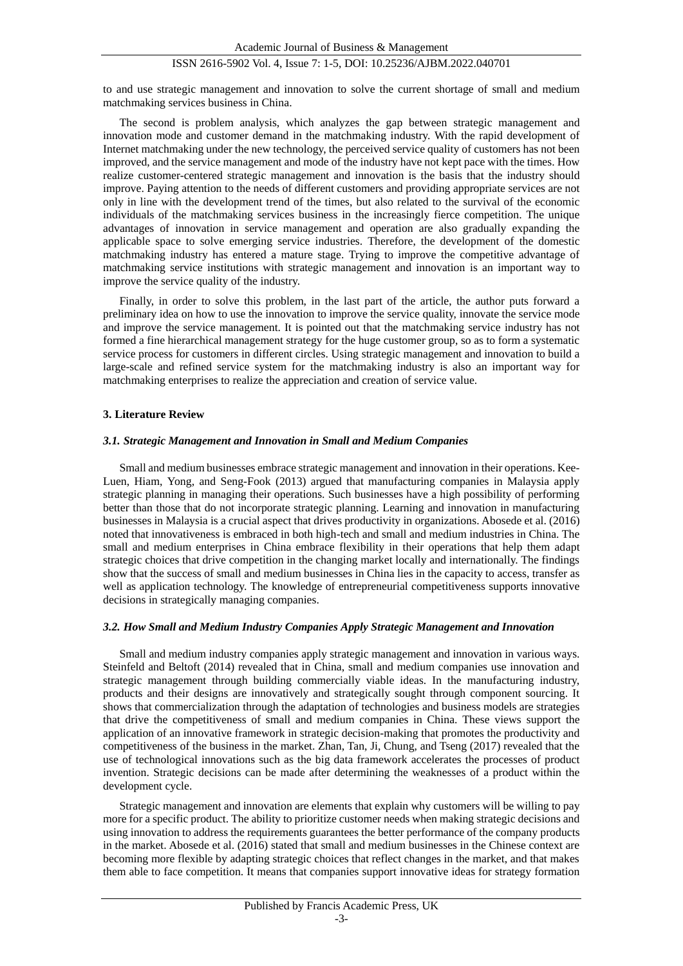to and use strategic management and innovation to solve the current shortage of small and medium matchmaking services business in China.

The second is problem analysis, which analyzes the gap between strategic management and innovation mode and customer demand in the matchmaking industry. With the rapid development of Internet matchmaking under the new technology, the perceived service quality of customers has not been improved, and the service management and mode of the industry have not kept pace with the times. How realize customer-centered strategic management and innovation is the basis that the industry should improve. Paying attention to the needs of different customers and providing appropriate services are not only in line with the development trend of the times, but also related to the survival of the economic individuals of the matchmaking services business in the increasingly fierce competition. The unique advantages of innovation in service management and operation are also gradually expanding the applicable space to solve emerging service industries. Therefore, the development of the domestic matchmaking industry has entered a mature stage. Trying to improve the competitive advantage of matchmaking service institutions with strategic management and innovation is an important way to improve the service quality of the industry.

Finally, in order to solve this problem, in the last part of the article, the author puts forward a preliminary idea on how to use the innovation to improve the service quality, innovate the service mode and improve the service management. It is pointed out that the matchmaking service industry has not formed a fine hierarchical management strategy for the huge customer group, so as to form a systematic service process for customers in different circles. Using strategic management and innovation to build a large-scale and refined service system for the matchmaking industry is also an important way for matchmaking enterprises to realize the appreciation and creation of service value.

# **3. Literature Review**

#### *3.1. Strategic Management and Innovation in Small and Medium Companies*

Small and medium businesses embrace strategic management and innovation in their operations. Kee-Luen, Hiam, Yong, and Seng-Fook (2013) argued that manufacturing companies in Malaysia apply strategic planning in managing their operations. Such businesses have a high possibility of performing better than those that do not incorporate strategic planning. Learning and innovation in manufacturing businesses in Malaysia is a crucial aspect that drives productivity in organizations. Abosede et al. (2016) noted that innovativeness is embraced in both high-tech and small and medium industries in China. The small and medium enterprises in China embrace flexibility in their operations that help them adapt strategic choices that drive competition in the changing market locally and internationally. The findings show that the success of small and medium businesses in China lies in the capacity to access, transfer as well as application technology. The knowledge of entrepreneurial competitiveness supports innovative decisions in strategically managing companies.

#### *3.2. How Small and Medium Industry Companies Apply Strategic Management and Innovation*

Small and medium industry companies apply strategic management and innovation in various ways. Steinfeld and Beltoft (2014) revealed that in China, small and medium companies use innovation and strategic management through building commercially viable ideas. In the manufacturing industry, products and their designs are innovatively and strategically sought through component sourcing. It shows that commercialization through the adaptation of technologies and business models are strategies that drive the competitiveness of small and medium companies in China. These views support the application of an innovative framework in strategic decision-making that promotes the productivity and competitiveness of the business in the market. Zhan, Tan, Ji, Chung, and Tseng (2017) revealed that the use of technological innovations such as the big data framework accelerates the processes of product invention. Strategic decisions can be made after determining the weaknesses of a product within the development cycle.

Strategic management and innovation are elements that explain why customers will be willing to pay more for a specific product. The ability to prioritize customer needs when making strategic decisions and using innovation to address the requirements guarantees the better performance of the company products in the market. Abosede et al. (2016) stated that small and medium businesses in the Chinese context are becoming more flexible by adapting strategic choices that reflect changes in the market, and that makes them able to face competition. It means that companies support innovative ideas for strategy formation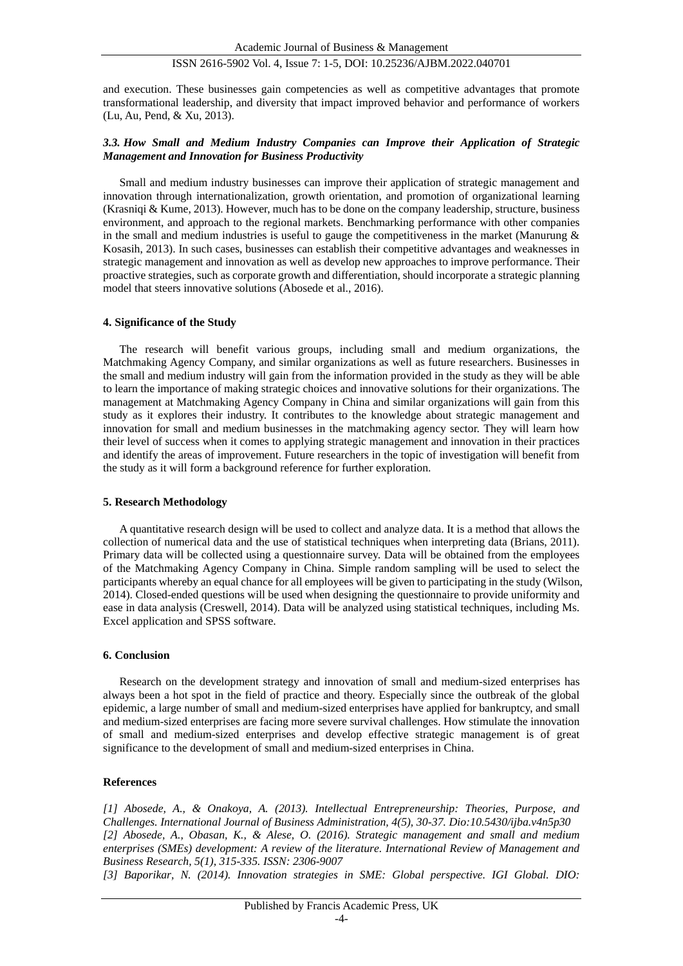and execution. These businesses gain competencies as well as competitive advantages that promote transformational leadership, and diversity that impact improved behavior and performance of workers (Lu, Au, Pend, & Xu, 2013).

# *3.3. How Small and Medium Industry Companies can Improve their Application of Strategic Management and Innovation for Business Productivity*

Small and medium industry businesses can improve their application of strategic management and innovation through internationalization, growth orientation, and promotion of organizational learning (Krasniqi & Kume, 2013). However, much has to be done on the company leadership, structure, business environment, and approach to the regional markets. Benchmarking performance with other companies in the small and medium industries is useful to gauge the competitiveness in the market (Manurung  $\&$ Kosasih, 2013). In such cases, businesses can establish their competitive advantages and weaknesses in strategic management and innovation as well as develop new approaches to improve performance. Their proactive strategies, such as corporate growth and differentiation, should incorporate a strategic planning model that steers innovative solutions (Abosede et al., 2016).

# **4. Significance of the Study**

The research will benefit various groups, including small and medium organizations, the Matchmaking Agency Company, and similar organizations as well as future researchers. Businesses in the small and medium industry will gain from the information provided in the study as they will be able to learn the importance of making strategic choices and innovative solutions for their organizations. The management at Matchmaking Agency Company in China and similar organizations will gain from this study as it explores their industry. It contributes to the knowledge about strategic management and innovation for small and medium businesses in the matchmaking agency sector. They will learn how their level of success when it comes to applying strategic management and innovation in their practices and identify the areas of improvement. Future researchers in the topic of investigation will benefit from the study as it will form a background reference for further exploration.

#### **5. Research Methodology**

A quantitative research design will be used to collect and analyze data. It is a method that allows the collection of numerical data and the use of statistical techniques when interpreting data (Brians, 2011). Primary data will be collected using a questionnaire survey. Data will be obtained from the employees of the Matchmaking Agency Company in China. Simple random sampling will be used to select the participants whereby an equal chance for all employees will be given to participating in the study (Wilson, 2014). Closed-ended questions will be used when designing the questionnaire to provide uniformity and ease in data analysis (Creswell, 2014). Data will be analyzed using statistical techniques, including Ms. Excel application and SPSS software.

# **6. Conclusion**

Research on the development strategy and innovation of small and medium-sized enterprises has always been a hot spot in the field of practice and theory. Especially since the outbreak of the global epidemic, a large number of small and medium-sized enterprises have applied for bankruptcy, and small and medium-sized enterprises are facing more severe survival challenges. How stimulate the innovation of small and medium-sized enterprises and develop effective strategic management is of great significance to the development of small and medium-sized enterprises in China.

#### **References**

*[1] Abosede, A., & Onakoya, A. (2013). Intellectual Entrepreneurship: Theories, Purpose, and Challenges. International Journal of Business Administration, 4(5), 30-37. Dio:10.5430/ijba.v4n5p30 [2] Abosede, A., Obasan, K., & Alese, O. (2016). Strategic management and small and medium enterprises (SMEs) development: A review of the literature. International Review of Management and Business Research, 5(1), 315-335. ISSN: 2306-9007*

*[3] Baporikar, N. (2014). Innovation strategies in SME: Global perspective. IGI Global. DIO:*